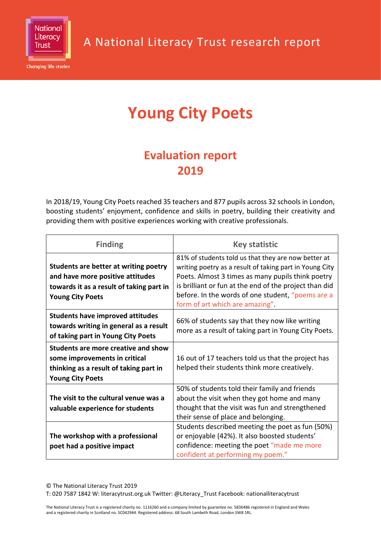

**Changing life stories** 

# **Young City Poets**

# **Evaluation report 2019**

In 2018/19, Young City Poets reached 35 teachers and 877 pupils across 32 schools in London, boosting students' enjoyment, confidence and skills in poetry, building their creativity and providing them with positive experiences working with creative professionals.

| <b>Finding</b>                                                                                                                                   | <b>Key statistic</b>                                                                                                                                                                                                                                                                                                  |
|--------------------------------------------------------------------------------------------------------------------------------------------------|-----------------------------------------------------------------------------------------------------------------------------------------------------------------------------------------------------------------------------------------------------------------------------------------------------------------------|
| Students are better at writing poetry<br>and have more positive attitudes<br>towards it as a result of taking part in<br><b>Young City Poets</b> | 81% of students told us that they are now better at<br>writing poetry as a result of taking part in Young City<br>Poets. Almost 3 times as many pupils think poetry<br>is brilliant or fun at the end of the project than did<br>before. In the words of one student, "poems are a<br>form of art which are amazing". |
| <b>Students have improved attitudes</b><br>towards writing in general as a result<br>of taking part in Young City Poets                          | 66% of students say that they now like writing<br>more as a result of taking part in Young City Poets.                                                                                                                                                                                                                |
| Students are more creative and show<br>some improvements in critical<br>thinking as a result of taking part in<br><b>Young City Poets</b>        | 16 out of 17 teachers told us that the project has<br>helped their students think more creatively.                                                                                                                                                                                                                    |
| The visit to the cultural venue was a<br>valuable experience for students                                                                        | 50% of students told their family and friends<br>about the visit when they got home and many<br>thought that the visit was fun and strengthened<br>their sense of place and belonging.                                                                                                                                |
| The workshop with a professional<br>poet had a positive impact                                                                                   | Students described meeting the poet as fun (50%)<br>or enjoyable (42%). It also boosted students'<br>confidence: meeting the poet "made me more<br>confident at performing my poem."                                                                                                                                  |

© The National Literacy Trust 2019

T: 020 7587 1842 W: literacytrust.org.uk Twitter: @Literacy\_Trust Facebook: nationalliteracytrust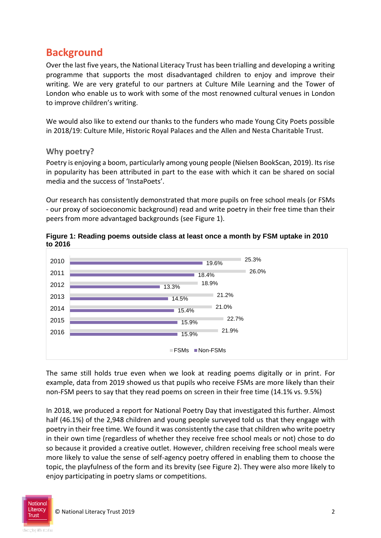# **Background**

Over the last five years, the National Literacy Trust has been trialling and developing a writing programme that supports the most disadvantaged children to enjoy and improve their writing. We are very grateful to our partners at Culture Mile Learning and the Tower of London who enable us to work with some of the most renowned cultural venues in London to improve children's writing.

We would also like to extend our thanks to the funders who made Young City Poets possible in 2018/19: Culture Mile, Historic Royal Palaces and the Allen and Nesta Charitable Trust.

#### **Why poetry?**

Poetry is enjoying a boom, particularly among young people (Nielsen BookScan, 2019). Its rise in popularity has been attributed in part to the ease with which it can be shared on social media and the success of 'InstaPoets'.

Our research has consistently demonstrated that more pupils on free school meals (or FSMs - our proxy of socioeconomic background) read and write poetry in their free time than their peers from more advantaged backgrounds (see Figure 1).



**Figure 1: Reading poems outside class at least once a month by FSM uptake in 2010 to 2016**

The same still holds true even when we look at reading poems digitally or in print. For example, data from 2019 showed us that pupils who receive FSMs are more likely than their non-FSM peers to say that they read poems on screen in their free time (14.1% vs. 9.5%)

In 2018, we produced a report for National Poetry Day that investigated this further. Almost half (46.1%) of the 2,948 children and young people surveyed told us that they engage with poetry in their free time. We found it was consistently the case that children who write poetry in their own time (regardless of whether they receive free school meals or not) chose to do so because it provided a creative outlet. However, children receiving free school meals were more likely to value the sense of self-agency poetry offered in enabling them to choose the topic, the playfulness of the form and its brevity (see Figure 2). They were also more likely to enjoy participating in poetry slams or competitions.

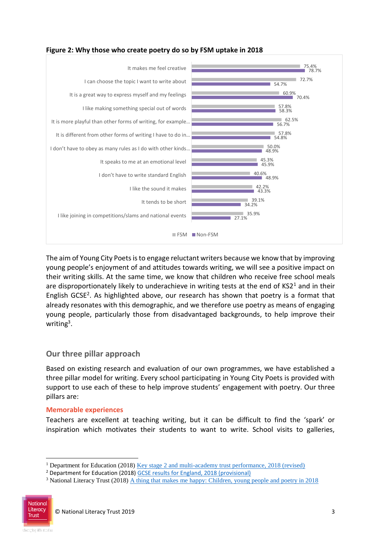

### **Figure 2: Why those who create poetry do so by FSM uptake in 2018**

The aim of Young City Poets is to engage reluctant writers because we know that by improving young people's enjoyment of and attitudes towards writing, we will see a positive impact on their writing skills. At the same time, we know that children who receive free school meals are disproportionately likely to underachieve in writing tests at the end of  $KSI<sup>1</sup>$  and in their English GCSE<sup>2</sup>. As highlighted above, our research has shown that poetry is a format that already resonates with this demographic, and we therefore use poetry as means of engaging young people, particularly those from disadvantaged backgrounds, to help improve their writing<sup>3</sup>.

### **Our three pillar approach**

Based on existing research and evaluation of our own programmes, we have established a three pillar model for writing. Every school participating in Young City Poets is provided with support to use each of these to help improve students' engagement with poetry. Our three pillars are:

#### **Memorable experiences**

Teachers are excellent at teaching writing, but it can be difficult to find the 'spark' or inspiration which motivates their students to want to write. School visits to galleries,

<sup>&</sup>lt;sup>3</sup> National Literacy Trust (2018) [A thing that makes me happy: Children, young people and poetry in 2018](https://literacytrust.org.uk/research-services/research-reports/children-young-people-and-poetry-2018/)



1

<sup>1</sup> Department for Education (2018) [Key stage 2 and multi-academy trust performance, 2018 \(revised\)](https://www.gov.uk/government/statistics/key-stage-2-and-multi-academy-trust-performance-2018-revised)

<sup>&</sup>lt;sup>2</sup> Department for Education (2018) [GCSE results for England, 2018 \(provisional\)](https://assets.publishing.service.gov.uk/government/uploads/system/uploads/attachment_data/file/735678/GCSE_Infographic_23.8.18.pdf)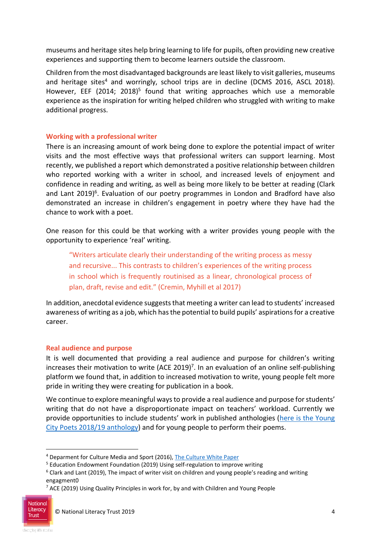museums and heritage sites help bring learning to life for pupils, often providing new creative experiences and supporting them to become learners outside the classroom.

Children from the most disadvantaged backgrounds are least likely to visit galleries, museums and heritage sites<sup>4</sup> and worringly, school trips are in decline (DCMS 2016, ASCL 2018). However, EEF (2014; 2018)<sup>5</sup> found that writing approaches which use a memorable experience as the inspiration for writing helped children who struggled with writing to make additional progress.

#### **Working with a professional writer**

There is an increasing amount of work being done to explore the potential impact of writer visits and the most effective ways that professional writers can support learning. Most recently, we published a report which demonstrated a positive relationship between children who reported working with a writer in school, and increased levels of enjoyment and confidence in reading and writing, as well as being more likely to be better at reading (Clark and Lant 2019)<sup>6</sup>. Evaluation of our poetry programmes in London and Bradford have also demonstrated an increase in children's engagement in poetry where they have had the chance to work with a poet.

One reason for this could be that working with a writer provides young people with the opportunity to experience 'real' writing.

"Writers articulate clearly their understanding of the writing process as messy and recursive... This contrasts to children's experiences of the writing process in school which is frequently routinised as a linear, chronological process of plan, draft, revise and edit." (Cremin, Myhill et al 2017)

In addition, anecdotal evidence suggests that meeting a writer can lead to students' increased awareness of writing as a job, which has the potential to build pupils' aspirations for a creative career.

#### **Real audience and purpose**

It is well documented that providing a real audience and purpose for children's writing increases their motivation to write (ACE 2019)<sup>7</sup>. In an evaluation of an online self-publishing platform we found that, in addition to increased motivation to write, young people felt more pride in writing they were creating for publication in a book.

We continue to explore meaningful ways to provide a real audience and purpose for students' writing that do not have a disproportionate impact on teachers' workload. Currently we provide opportunities to include students' work in published anthologies ([here is the Young](https://www.amazon.co.uk/s?k=young+city+poets&i=stripbooks&ref=nb_sb_noss_2)  [City Poets 2018/19 anthology\)](https://www.amazon.co.uk/s?k=young+city+poets&i=stripbooks&ref=nb_sb_noss_2) and for young people to perform their poems.

1

<sup>4</sup> Deparment for Culture Media and Sport (2016), [The Culture White Paper](https://assets.publishing.service.gov.uk/government/uploads/system/uploads/attachment_data/file/510799/DCMS_Arts_and_Culture_White_Paper_Accessible_version.pdf)

<sup>&</sup>lt;sup>5</sup> Education Endowment Foundation (2019) Using self-regulation to improve writing

 $6$  Clark and Lant (2019), The impact of writer visit on children and young people's reading and writing engagment0

<sup>&</sup>lt;sup>7</sup> ACE (2019) Using Quality Principles in work for, by and with Children and Young People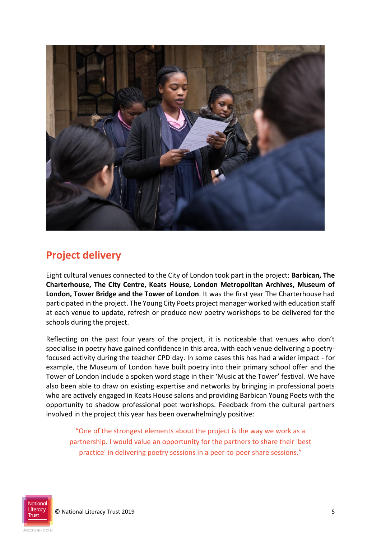

# **Project delivery**

Eight cultural venues connected to the City of London took part in the project: **Barbican, The Charterhouse, The City Centre, Keats House, London Metropolitan Archives, Museum of London, Tower Bridge and the Tower of London**. It was the first year The Charterhouse had participated in the project. The Young City Poets project manager worked with education staff at each venue to update, refresh or produce new poetry workshops to be delivered for the schools during the project.

Reflecting on the past four years of the project, it is noticeable that venues who don't specialise in poetry have gained confidence in this area, with each venue delivering a poetryfocused activity during the teacher CPD day. In some cases this has had a wider impact - for example, the Museum of London have built poetry into their primary school offer and the Tower of London include a spoken word stage in their 'Music at the Tower' festival. We have also been able to draw on existing expertise and networks by bringing in professional poets who are actively engaged in Keats House salons and providing Barbican Young Poets with the opportunity to shadow professional poet workshops. Feedback from the cultural partners involved in the project this year has been overwhelmingly positive:

"One of the strongest elements about the project is the way we work as a partnership. I would value an opportunity for the partners to share their 'best practice' in delivering poetry sessions in a peer-to-peer share sessions."

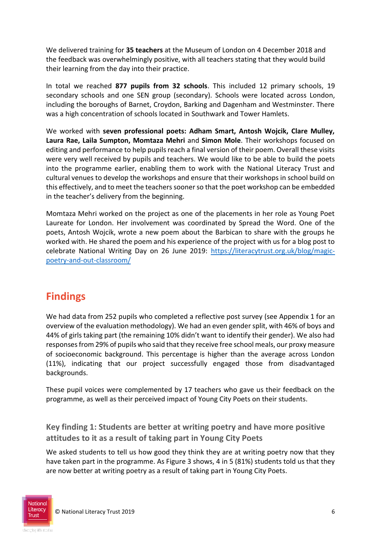We delivered training for **35 teachers** at the Museum of London on 4 December 2018 and the feedback was overwhelmingly positive, with all teachers stating that they would build their learning from the day into their practice.

In total we reached **877 pupils from 32 schools**. This included 12 primary schools, 19 secondary schools and one SEN group (secondary). Schools were located across London, including the boroughs of Barnet, Croydon, Barking and Dagenham and Westminster. There was a high concentration of schools located in Southwark and Tower Hamlets.

We worked with **seven professional poets: Adham Smart, Antosh Wojcik, Clare Mulley, Laura Rae, Laila Sumpton, Momtaza Mehri** and **Simon Mole**. Their workshops focused on editing and performance to help pupils reach a final version of their poem. Overall these visits were very well received by pupils and teachers. We would like to be able to build the poets into the programme earlier, enabling them to work with the National Literacy Trust and cultural venues to develop the workshops and ensure that their workshops in school build on this effectively, and to meet the teachers sooner so that the poet workshop can be embedded in the teacher's delivery from the beginning.

Momtaza Mehri worked on the project as one of the placements in her role as Young Poet Laureate for London. Her involvement was coordinated by Spread the Word. One of the poets, Antosh Wojcik, wrote a new poem about the Barbican to share with the groups he worked with. He shared the poem and his experience of the project with us for a blog post to celebrate National Writing Day on 26 June 2019: [https://literacytrust.org.uk/blog/magic](https://literacytrust.org.uk/blog/magic-poetry-and-out-classroom/)[poetry-and-out-classroom/](https://literacytrust.org.uk/blog/magic-poetry-and-out-classroom/)

# **Findings**

We had data from 252 pupils who completed a reflective post survey (see Appendix 1 for an overview of the evaluation methodology). We had an even gender split, with 46% of boys and 44% of girls taking part (the remaining 10% didn't want to identify their gender). We also had responses from 29% of pupils who said that they receive free school meals, our proxy measure of socioeconomic background. This percentage is higher than the average across London (11%), indicating that our project successfully engaged those from disadvantaged backgrounds.

These pupil voices were complemented by 17 teachers who gave us their feedback on the programme, as well as their perceived impact of Young City Poets on their students.

**Key finding 1: Students are better at writing poetry and have more positive attitudes to it as a result of taking part in Young City Poets**

We asked students to tell us how good they think they are at writing poetry now that they have taken part in the programme. As Figure 3 shows, 4 in 5 (81%) students told us that they are now better at writing poetry as a result of taking part in Young City Poets.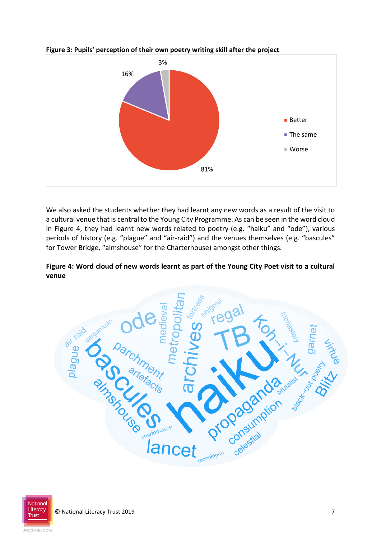

#### **Figure 3: Pupils' perception of their own poetry writing skill after the project**

We also asked the students whether they had learnt any new words as a result of the visit to a cultural venue that is central to the Young City Programme. As can be seen in the word cloud in Figure 4, they had learnt new words related to poetry (e.g. "haiku" and "ode"), various periods of history (e.g. "plague" and "air-raid") and the venues themselves (e.g. "bascules" for Tower Bridge, "almshouse" for the Charterhouse) amongst other things.

#### **Figure 4: Word cloud of new words learnt as part of the Young City Poet visit to a cultural venue**



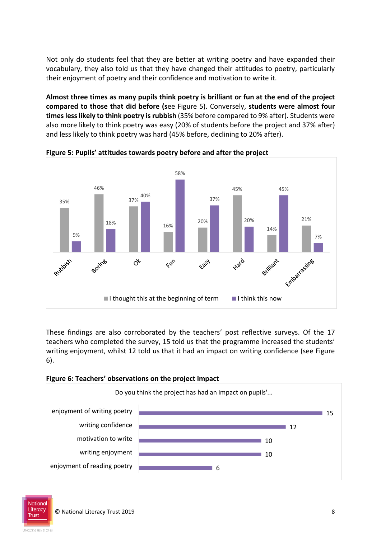Not only do students feel that they are better at writing poetry and have expanded their vocabulary, they also told us that they have changed their attitudes to poetry, particularly their enjoyment of poetry and their confidence and motivation to write it.

**Almost three times as many pupils think poetry is brilliant or fun at the end of the project compared to those that did before (s**ee Figure 5). Conversely, **students were almost four times less likely to think poetry is rubbish** (35% before compared to 9% after). Students were also more likely to think poetry was easy (20% of students before the project and 37% after) and less likely to think poetry was hard (45% before, declining to 20% after).



**Figure 5: Pupils' attitudes towards poetry before and after the project**

These findings are also corroborated by the teachers' post reflective surveys. Of the 17 teachers who completed the survey, 15 told us that the programme increased the students' writing enjoyment, whilst 12 told us that it had an impact on writing confidence (see Figure 6).

#### **Figure 6: Teachers' observations on the project impact**



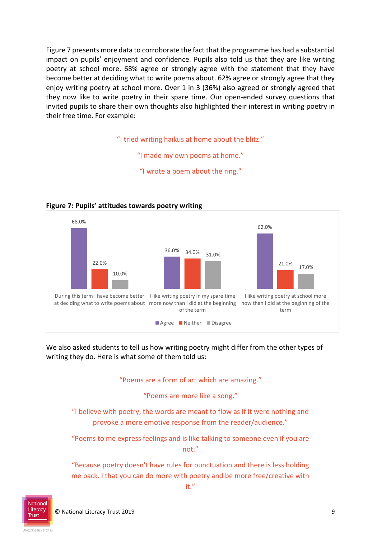Figure 7 presents more data to corroborate the fact that the programme has had a substantial impact on pupils' enjoyment and confidence. Pupils also told us that they are like writing poetry at school more. 68% agree or strongly agree with the statement that they have become better at deciding what to write poems about. 62% agree or strongly agree that they enjoy writing poetry at school more. Over 1 in 3 (36%) also agreed or strongly agreed that they now like to write poetry in their spare time. Our open-ended survey questions that invited pupils to share their own thoughts also highlighted their interest in writing poetry in their free time. For example:

"I tried writing haikus at home about the blitz."

"I made my own poems at home."

"I wrote a poem about the ring."



#### **Figure 7: Pupils' attitudes towards poetry writing**

We also asked students to tell us how writing poetry might differ from the other types of writing they do. Here is what some of them told us:

"Poems are a form of art which are amazing."

"Poems are more like a song."

"I believe with poetry, the words are meant to flow as if it were nothing and provoke a more emotive response from the reader/audience."

"Poems to me express feelings and is like talking to someone even if you are not."

"Because poetry doesn't have rules for punctuation and there is less holding me back. I that you can do more with poetry and be more free/creative with

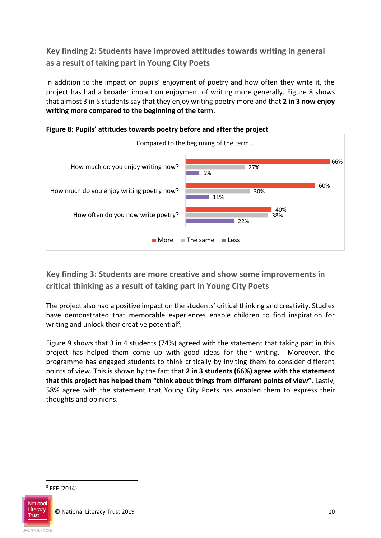**Key finding 2: Students have improved attitudes towards writing in general as a result of taking part in Young City Poets**

In addition to the impact on pupils' enjoyment of poetry and how often they write it, the project has had a broader impact on enjoyment of writing more generally. Figure 8 shows that almost 3 in 5 students say that they enjoy writing poetry more and that **2 in 3 now enjoy writing more compared to the beginning of the term**.





**Key finding 3: Students are more creative and show some improvements in critical thinking as a result of taking part in Young City Poets**

The project also had a positive impact on the students' critical thinking and creativity. Studies have demonstrated that memorable experiences enable children to find inspiration for writing and unlock their creative potential<sup>8</sup>.

Figure 9 shows that 3 in 4 students (74%) agreed with the statement that taking part in this project has helped them come up with good ideas for their writing. Moreover, the programme has engaged students to think critically by inviting them to consider different points of view. This is shown by the fact that **2 in 3 students (66%) agree with the statement that this project has helped them "think about things from different points of view".** Lastly, 58% agree with the statement that Young City Poets has enabled them to express their thoughts and opinions.



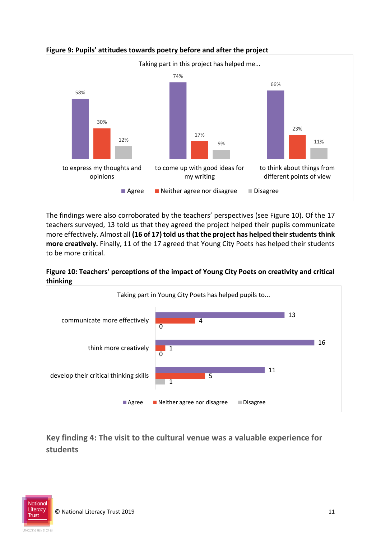

#### **Figure 9: Pupils' attitudes towards poetry before and after the project**

The findings were also corroborated by the teachers' perspectives (see Figure 10). Of the 17 teachers surveyed, 13 told us that they agreed the project helped their pupils communicate more effectively. Almost all **(16 of 17) told us that the project has helped their students think more creatively.** Finally, 11 of the 17 agreed that Young City Poets has helped their students to be more critical.





**Key finding 4: The visit to the cultural venue was a valuable experience for students**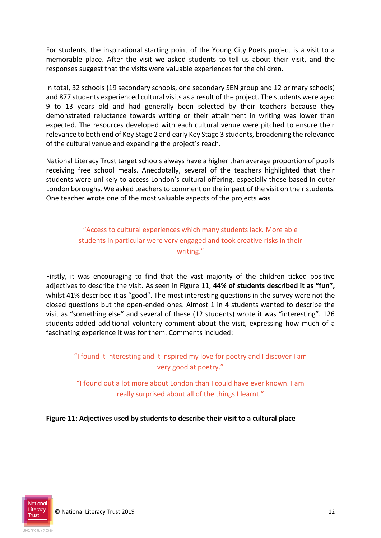For students, the inspirational starting point of the Young City Poets project is a visit to a memorable place. After the visit we asked students to tell us about their visit, and the responses suggest that the visits were valuable experiences for the children.

In total, 32 schools (19 secondary schools, one secondary SEN group and 12 primary schools) and 877 students experienced cultural visits as a result of the project. The students were aged 9 to 13 years old and had generally been selected by their teachers because they demonstrated reluctance towards writing or their attainment in writing was lower than expected. The resources developed with each cultural venue were pitched to ensure their relevance to both end of Key Stage 2 and early Key Stage 3 students, broadening the relevance of the cultural venue and expanding the project's reach.

National Literacy Trust target schools always have a higher than average proportion of pupils receiving free school meals. Anecdotally, several of the teachers highlighted that their students were unlikely to access London's cultural offering, especially those based in outer London boroughs. We asked teachers to comment on the impact of the visit on their students. One teacher wrote one of the most valuable aspects of the projects was

## "Access to cultural experiences which many students lack. More able students in particular were very engaged and took creative risks in their writing."

Firstly, it was encouraging to find that the vast majority of the children ticked positive adjectives to describe the visit. As seen in Figure 11, **44% of students described it as "fun",** whilst 41% described it as "good". The most interesting questions in the survey were not the closed questions but the open-ended ones. Almost 1 in 4 students wanted to describe the visit as "something else" and several of these (12 students) wrote it was "interesting". 126 students added additional voluntary comment about the visit, expressing how much of a fascinating experience it was for them. Comments included:

"I found it interesting and it inspired my love for poetry and I discover I am very good at poetry."

"I found out a lot more about London than I could have ever known. I am really surprised about all of the things I learnt."

**Figure 11: Adjectives used by students to describe their visit to a cultural place** 

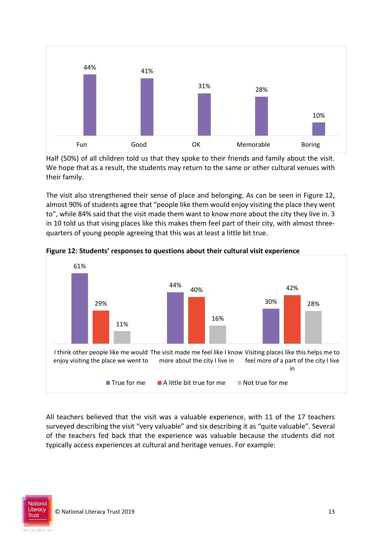

Half (50%) of all children told us that they spoke to their friends and family about the visit. We hope that as a result, the students may return to the same or other cultural venues with their family.

The visit also strengthened their sense of place and belonging. As can be seen in Figure 12, almost 90% of students agree that "people like them would enjoy visiting the place they went to", while 84% said that the visit made them want to know more about the city they live in. 3 in 10 told us that vising places like this makes them feel part of their city, with almost threequarters of young people agreeing that this was at least a little bit true.



**Figure 12: Students' responses to questions about their cultural visit experience** 

All teachers believed that the visit was a valuable experience, with 11 of the 17 teachers surveyed describing the visit "very valuable" and six describing it as "quite valuable". Several of the teachers fed back that the experience was valuable because the students did not typically access experiences at cultural and heritage venues. For example: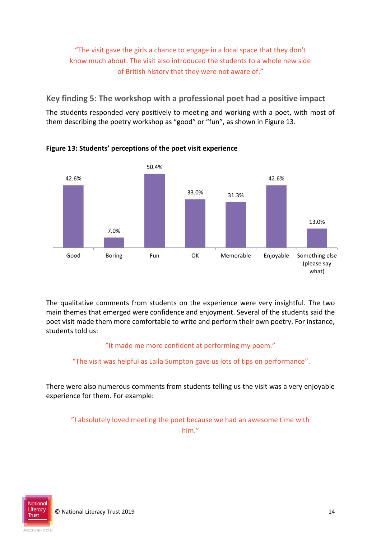# "The visit gave the girls a chance to engage in a local space that they don't know much about. The visit also introduced the students to a whole new side of British history that they were not aware of."

**Key finding 5: The workshop with a professional poet had a positive impact**

The students responded very positively to meeting and working with a poet, with most of them describing the poetry workshop as "good" or "fun", as shown in Figure 13.



**Figure 13: Students' perceptions of the poet visit experience** 

The qualitative comments from students on the experience were very insightful. The two main themes that emerged were confidence and enjoyment. Several of the students said the poet visit made them more comfortable to write and perform their own poetry. For instance, students told us:

### "It made me more confident at performing my poem."

"The visit was helpful as Laila Sumpton gave us lots of tips on performance".

There were also numerous comments from students telling us the visit was a very enjoyable experience for them. For example:

"I absolutely loved meeting the poet because we had an awesome time with him."

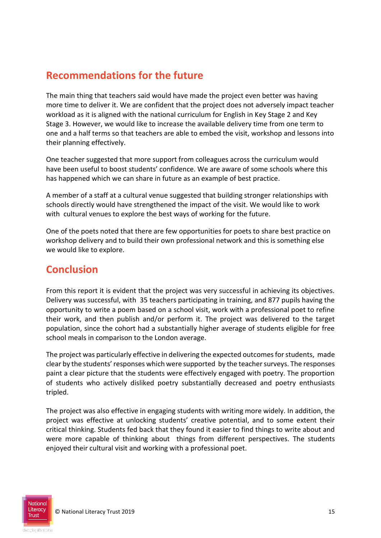# **Recommendations for the future**

The main thing that teachers said would have made the project even better was having more time to deliver it. We are confident that the project does not adversely impact teacher workload as it is aligned with the national curriculum for English in Key Stage 2 and Key Stage 3. However, we would like to increase the available delivery time from one term to one and a half terms so that teachers are able to embed the visit, workshop and lessons into their planning effectively.

One teacher suggested that more support from colleagues across the curriculum would have been useful to boost students' confidence. We are aware of some schools where this has happened which we can share in future as an example of best practice.

A member of a staff at a cultural venue suggested that building stronger relationships with schools directly would have strengthened the impact of the visit. We would like to work with cultural venues to explore the best ways of working for the future.

One of the poets noted that there are few opportunities for poets to share best practice on workshop delivery and to build their own professional network and this is something else we would like to explore.

# **Conclusion**

From this report it is evident that the project was very successful in achieving its objectives. Delivery was successful, with 35 teachers participating in training, and 877 pupils having the opportunity to write a poem based on a school visit, work with a professional poet to refine their work, and then publish and/or perform it. The project was delivered to the target population, since the cohort had a substantially higher average of students eligible for free school meals in comparison to the London average.

The project was particularly effective in delivering the expected outcomes for students, made clear by the students' responses which were supported by the teacher surveys. The responses paint a clear picture that the students were effectively engaged with poetry. The proportion of students who actively disliked poetry substantially decreased and poetry enthusiasts tripled.

The project was also effective in engaging students with writing more widely. In addition, the project was effective at unlocking students' creative potential, and to some extent their critical thinking. Students fed back that they found it easier to find things to write about and were more capable of thinking about things from different perspectives. The students enjoyed their cultural visit and working with a professional poet.

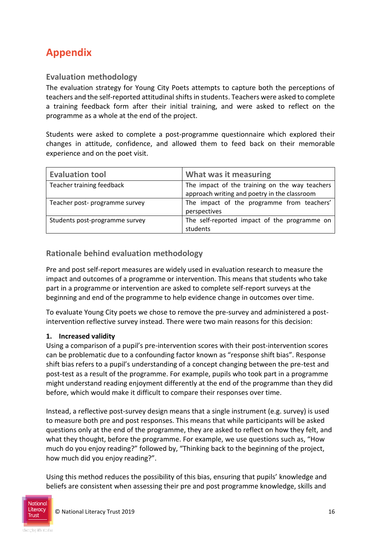# **Appendix**

### **Evaluation methodology**

The evaluation strategy for Young City Poets attempts to capture both the perceptions of teachers and the self-reported attitudinal shifts in students. Teachers were asked to complete a training feedback form after their initial training, and were asked to reflect on the programme as a whole at the end of the project.

Students were asked to complete a post-programme questionnaire which explored their changes in attitude, confidence, and allowed them to feed back on their memorable experience and on the poet visit.

| <b>Evaluation tool</b>         | What was it measuring                                                                          |  |
|--------------------------------|------------------------------------------------------------------------------------------------|--|
| Teacher training feedback      | The impact of the training on the way teachers<br>approach writing and poetry in the classroom |  |
| Teacher post- programme survey | The impact of the programme from teachers'<br>perspectives                                     |  |
| Students post-programme survey | The self-reported impact of the programme on<br>students                                       |  |

### **Rationale behind evaluation methodology**

Pre and post self-report measures are widely used in evaluation research to measure the impact and outcomes of a programme or intervention. This means that students who take part in a programme or intervention are asked to complete self-report surveys at the beginning and end of the programme to help evidence change in outcomes over time.

To evaluate Young City poets we chose to remove the pre-survey and administered a postintervention reflective survey instead. There were two main reasons for this decision:

#### **1. Increased validity**

Using a comparison of a pupil's pre-intervention scores with their post-intervention scores can be problematic due to a confounding factor known as "response shift bias". Response shift bias refers to a pupil's understanding of a concept changing between the pre-test and post-test as a result of the programme. For example, pupils who took part in a programme might understand reading enjoyment differently at the end of the programme than they did before, which would make it difficult to compare their responses over time.

Instead, a reflective post-survey design means that a single instrument (e.g. survey) is used to measure both pre and post responses. This means that while participants will be asked questions only at the end of the programme, they are asked to reflect on how they felt, and what they thought, before the programme. For example, we use questions such as, "How much do you enjoy reading?" followed by, "Thinking back to the beginning of the project, how much did you enjoy reading?".

Using this method reduces the possibility of this bias, ensuring that pupils' knowledge and beliefs are consistent when assessing their pre and post programme knowledge, skills and